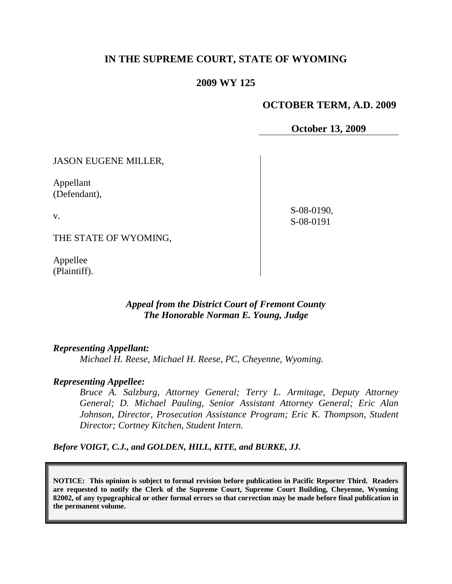## **IN THE SUPREME COURT, STATE OF WYOMING**

### **2009 WY 125**

### **OCTOBER TERM, A.D. 2009**

**October 13, 2009**

JASON EUGENE MILLER,

Appellant (Defendant),

v.

 S-08-0190, S-08-0191

THE STATE OF WYOMING,

Appellee (Plaintiff).

### *Appeal from the District Court of Fremont County The Honorable Norman E. Young, Judge*

### *Representing Appellant:*

*Michael H. Reese, Michael H. Reese, PC, Cheyenne, Wyoming.*

### *Representing Appellee:*

*Bruce A. Salzburg, Attorney General; Terry L. Armitage, Deputy Attorney General; D. Michael Pauling, Senior Assistant Attorney General; Eric Alan Johnson, Director, Prosecution Assistance Program; Eric K. Thompson, Student Director; Cortney Kitchen, Student Intern.*

*Before VOIGT, C.J., and GOLDEN, HILL, KITE, and BURKE, JJ.*

**NOTICE: This opinion is subject to formal revision before publication in Pacific Reporter Third. Readers are requested to notify the Clerk of the Supreme Court, Supreme Court Building, Cheyenne, Wyoming 82002, of any typographical or other formal errors so that correction may be made before final publication in the permanent volume.**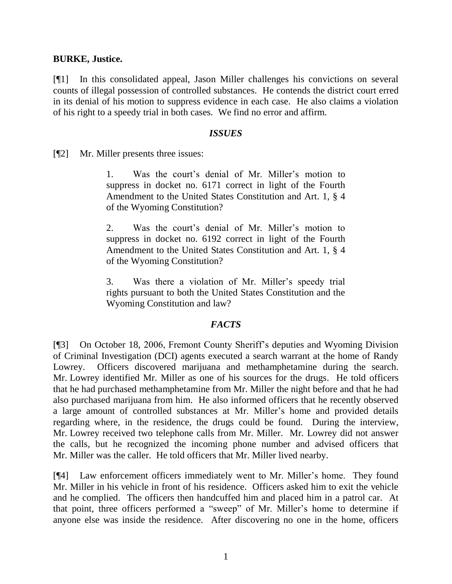### **BURKE, Justice.**

[¶1] In this consolidated appeal, Jason Miller challenges his convictions on several counts of illegal possession of controlled substances. He contends the district court erred in its denial of his motion to suppress evidence in each case. He also claims a violation of his right to a speedy trial in both cases. We find no error and affirm.

#### *ISSUES*

[¶2] Mr. Miller presents three issues:

1. Was the court's denial of Mr. Miller's motion to suppress in docket no. 6171 correct in light of the Fourth Amendment to the United States Constitution and Art. 1, § 4 of the Wyoming Constitution?

2. Was the court's denial of Mr. Miller's motion to suppress in docket no. 6192 correct in light of the Fourth Amendment to the United States Constitution and Art. 1, § 4 of the Wyoming Constitution?

3. Was there a violation of Mr. Miller's speedy trial rights pursuant to both the United States Constitution and the Wyoming Constitution and law?

### *FACTS*

[¶3] On October 18, 2006, Fremont County Sheriff's deputies and Wyoming Division of Criminal Investigation (DCI) agents executed a search warrant at the home of Randy Lowrey. Officers discovered marijuana and methamphetamine during the search. Mr. Lowrey identified Mr. Miller as one of his sources for the drugs. He told officers that he had purchased methamphetamine from Mr. Miller the night before and that he had also purchased marijuana from him. He also informed officers that he recently observed a large amount of controlled substances at Mr. Miller's home and provided details regarding where, in the residence, the drugs could be found. During the interview, Mr. Lowrey received two telephone calls from Mr. Miller. Mr. Lowrey did not answer the calls, but he recognized the incoming phone number and advised officers that Mr. Miller was the caller. He told officers that Mr. Miller lived nearby.

[¶4] Law enforcement officers immediately went to Mr. Miller's home. They found Mr. Miller in his vehicle in front of his residence. Officers asked him to exit the vehicle and he complied. The officers then handcuffed him and placed him in a patrol car. At that point, three officers performed a "sweep" of Mr. Miller's home to determine if anyone else was inside the residence. After discovering no one in the home, officers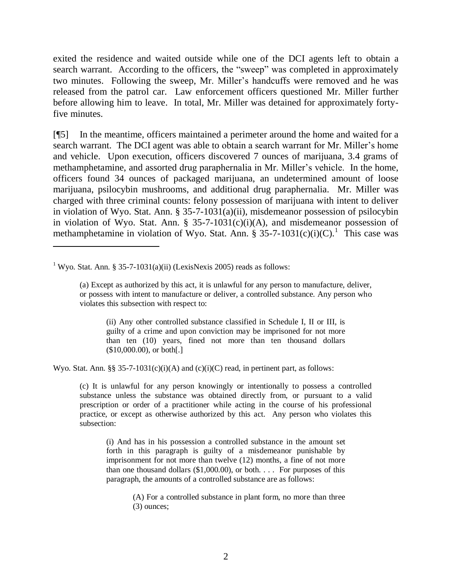exited the residence and waited outside while one of the DCI agents left to obtain a search warrant. According to the officers, the "sweep" was completed in approximately two minutes. Following the sweep, Mr. Miller's handcuffs were removed and he was released from the patrol car. Law enforcement officers questioned Mr. Miller further before allowing him to leave. In total, Mr. Miller was detained for approximately fortyfive minutes.

[¶5] In the meantime, officers maintained a perimeter around the home and waited for a search warrant. The DCI agent was able to obtain a search warrant for Mr. Miller's home and vehicle. Upon execution, officers discovered 7 ounces of marijuana, 3.4 grams of methamphetamine, and assorted drug paraphernalia in Mr. Miller's vehicle. In the home, officers found 34 ounces of packaged marijuana, an undetermined amount of loose marijuana, psilocybin mushrooms, and additional drug paraphernalia. Mr. Miller was charged with three criminal counts: felony possession of marijuana with intent to deliver in violation of Wyo. Stat. Ann. § 35-7-1031(a)(ii), misdemeanor possession of psilocybin in violation of Wyo. Stat. Ann. § 35-7-1031(c)(i)(A), and misdemeanor possession of methamphetamine in violation of Wyo. Stat. Ann. § 35-7-1031(c)(i)(C).<sup>1</sup> This case was

<sup>1</sup> Wyo. Stat. Ann. § 35-7-1031(a)(ii) (LexisNexis 2005) reads as follows:

(ii) Any other controlled substance classified in Schedule I, II or III, is guilty of a crime and upon conviction may be imprisoned for not more than ten (10) years, fined not more than ten thousand dollars (\$10,000.00), or both[.]

Wyo. Stat. Ann. §§ 35-7-1031(c)(i)(A) and (c)(i)(C) read, in pertinent part, as follows:

(c) It is unlawful for any person knowingly or intentionally to possess a controlled substance unless the substance was obtained directly from, or pursuant to a valid prescription or order of a practitioner while acting in the course of his professional practice, or except as otherwise authorized by this act. Any person who violates this subsection:

(i) And has in his possession a controlled substance in the amount set forth in this paragraph is guilty of a misdemeanor punishable by imprisonment for not more than twelve (12) months, a fine of not more than one thousand dollars (\$1,000.00), or both. . . . For purposes of this paragraph, the amounts of a controlled substance are as follows:

> (A) For a controlled substance in plant form, no more than three (3) ounces;

<sup>(</sup>a) Except as authorized by this act, it is unlawful for any person to manufacture, deliver, or possess with intent to manufacture or deliver, a controlled substance. Any person who violates this subsection with respect to: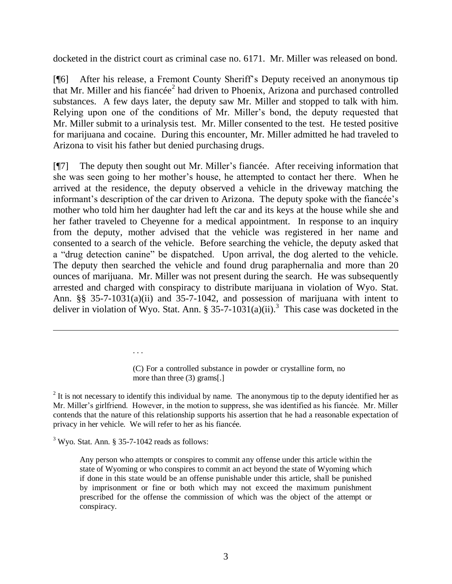docketed in the district court as criminal case no. 6171. Mr. Miller was released on bond.

[¶6] After his release, a Fremont County Sheriff's Deputy received an anonymous tip that Mr. Miller and his fiancée<sup>2</sup> had driven to Phoenix, Arizona and purchased controlled substances. A few days later, the deputy saw Mr. Miller and stopped to talk with him. Relying upon one of the conditions of Mr. Miller's bond, the deputy requested that Mr. Miller submit to a urinalysis test. Mr. Miller consented to the test. He tested positive for marijuana and cocaine. During this encounter, Mr. Miller admitted he had traveled to Arizona to visit his father but denied purchasing drugs.

[¶7] The deputy then sought out Mr. Miller's fiancée. After receiving information that she was seen going to her mother's house, he attempted to contact her there. When he arrived at the residence, the deputy observed a vehicle in the driveway matching the informant's description of the car driven to Arizona. The deputy spoke with the fiancée's mother who told him her daughter had left the car and its keys at the house while she and her father traveled to Cheyenne for a medical appointment. In response to an inquiry from the deputy, mother advised that the vehicle was registered in her name and consented to a search of the vehicle. Before searching the vehicle, the deputy asked that a "drug detection canine" be dispatched. Upon arrival, the dog alerted to the vehicle. The deputy then searched the vehicle and found drug paraphernalia and more than 20 ounces of marijuana. Mr. Miller was not present during the search. He was subsequently arrested and charged with conspiracy to distribute marijuana in violation of Wyo. Stat. Ann. §§ 35-7-1031(a)(ii) and 35-7-1042, and possession of marijuana with intent to deliver in violation of Wyo. Stat. Ann. § 35-7-10 $31(a)(ii)$ .<sup>3</sup> This case was docketed in the

> (C) For a controlled substance in powder or crystalline form, no more than three (3) grams[.]

 $2$  It is not necessary to identify this individual by name. The anonymous tip to the deputy identified her as Mr. Miller's girlfriend. However, in the motion to suppress, she was identified as his fiancée. Mr. Miller contends that the nature of this relationship supports his assertion that he had a reasonable expectation of privacy in her vehicle. We will refer to her as his fiancée.

 $3$  Wyo. Stat. Ann. § 35-7-1042 reads as follows:

. . .

Any person who attempts or conspires to commit any offense under this article within the state of Wyoming or who conspires to commit an act beyond the state of Wyoming which if done in this state would be an offense punishable under this article, shall be punished by imprisonment or fine or both which may not exceed the maximum punishment prescribed for the offense the commission of which was the object of the attempt or conspiracy.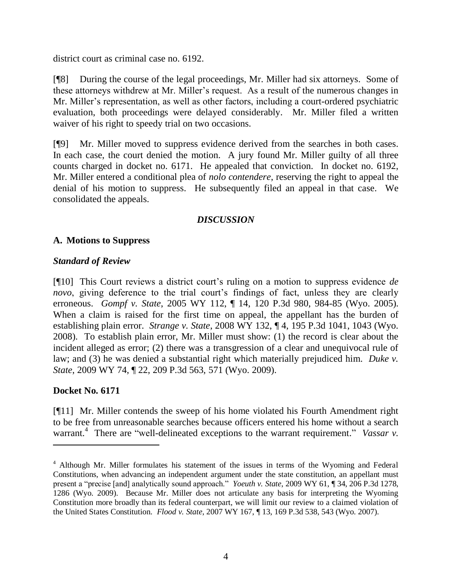district court as criminal case no. 6192.

[¶8] During the course of the legal proceedings, Mr. Miller had six attorneys. Some of these attorneys withdrew at Mr. Miller's request. As a result of the numerous changes in Mr. Miller's representation, as well as other factors, including a court-ordered psychiatric evaluation, both proceedings were delayed considerably. Mr. Miller filed a written waiver of his right to speedy trial on two occasions.

[¶9] Mr. Miller moved to suppress evidence derived from the searches in both cases. In each case, the court denied the motion. A jury found Mr. Miller guilty of all three counts charged in docket no. 6171. He appealed that conviction. In docket no. 6192, Mr. Miller entered a conditional plea of *nolo contendere*, reserving the right to appeal the denial of his motion to suppress. He subsequently filed an appeal in that case. We consolidated the appeals.

## *DISCUSSION*

## **A. Motions to Suppress**

## *Standard of Review*

[¶10] This Court reviews a district court's ruling on a motion to suppress evidence *de novo*, giving deference to the trial court's findings of fact, unless they are clearly erroneous. *Gompf v. State*, 2005 WY 112, ¶ 14, 120 P.3d 980, 984-85 (Wyo. 2005). When a claim is raised for the first time on appeal, the appellant has the burden of establishing plain error. *Strange v. State*, 2008 WY 132, ¶ 4, 195 P.3d 1041, 1043 (Wyo. 2008). To establish plain error, Mr. Miller must show: (1) the record is clear about the incident alleged as error; (2) there was a transgression of a clear and unequivocal rule of law; and (3) he was denied a substantial right which materially prejudiced him. *Duke v. State*, 2009 WY 74, ¶ 22, 209 P.3d 563, 571 (Wyo. 2009).

# **Docket No. 6171**

 $\overline{a}$ 

[¶11] Mr. Miller contends the sweep of his home violated his Fourth Amendment right to be free from unreasonable searches because officers entered his home without a search warrant.<sup>4</sup> There are "well-delineated exceptions to the warrant requirement." *Vassar v*.

<sup>&</sup>lt;sup>4</sup> Although Mr. Miller formulates his statement of the issues in terms of the Wyoming and Federal Constitutions, when advancing an independent argument under the state constitution, an appellant must present a "precise [and] analytically sound approach." *Yoeuth v. State*, 2009 WY 61, ¶ 34, 206 P.3d 1278, 1286 (Wyo. 2009). Because Mr. Miller does not articulate any basis for interpreting the Wyoming Constitution more broadly than its federal counterpart, we will limit our review to a claimed violation of the United States Constitution. *Flood v. State*, 2007 WY 167, ¶ 13, 169 P.3d 538, 543 (Wyo. 2007).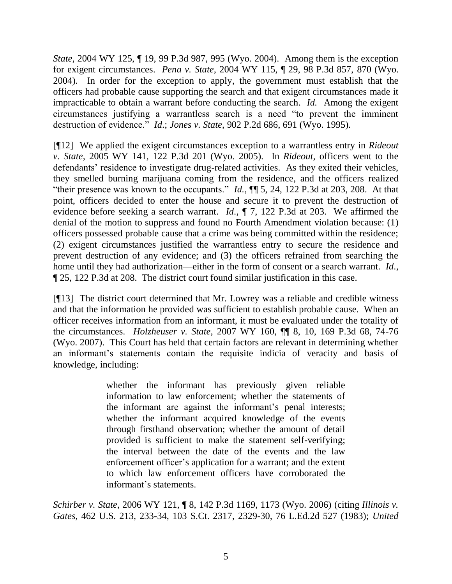*State*, 2004 WY 125, ¶ 19, 99 P.3d 987, 995 (Wyo. 2004). Among them is the exception for exigent circumstances. *Pena v. State*, 2004 WY 115, ¶ 29, 98 P.3d 857, 870 (Wyo. 2004). In order for the exception to apply, the government must establish that the officers had probable cause supporting the search and that exigent circumstances made it impracticable to obtain a warrant before conducting the search. *Id.* Among the exigent circumstances justifying a warrantless search is a need "to prevent the imminent destruction of evidence.‖ *Id*.; *Jones v. State*, 902 P.2d 686, 691 (Wyo. 1995).

[¶12] We applied the exigent circumstances exception to a warrantless entry in *Rideout v. State*, 2005 WY 141, 122 P.3d 201 (Wyo. 2005). In *Rideout*, officers went to the defendants' residence to investigate drug-related activities. As they exited their vehicles, they smelled burning marijuana coming from the residence, and the officers realized "their presence was known to the occupants."  $Id.$ ,  $\P$  $[$  5, 24, 122 P.3d at 203, 208. At that point, officers decided to enter the house and secure it to prevent the destruction of evidence before seeking a search warrant. *Id*., ¶ 7, 122 P.3d at 203. We affirmed the denial of the motion to suppress and found no Fourth Amendment violation because: (1) officers possessed probable cause that a crime was being committed within the residence; (2) exigent circumstances justified the warrantless entry to secure the residence and prevent destruction of any evidence; and (3) the officers refrained from searching the home until they had authorization—either in the form of consent or a search warrant. *Id*., ¶ 25, 122 P.3d at 208. The district court found similar justification in this case.

[¶13] The district court determined that Mr. Lowrey was a reliable and credible witness and that the information he provided was sufficient to establish probable cause. When an officer receives information from an informant, it must be evaluated under the totality of the circumstances. *Holzheuser v. State*, 2007 WY 160, ¶¶ 8, 10, 169 P.3d 68, 74-76 (Wyo. 2007). This Court has held that certain factors are relevant in determining whether an informant's statements contain the requisite indicia of veracity and basis of knowledge, including:

> whether the informant has previously given reliable information to law enforcement; whether the statements of the informant are against the informant's penal interests; whether the informant acquired knowledge of the events through firsthand observation; whether the amount of detail provided is sufficient to make the statement self-verifying; the interval between the date of the events and the law enforcement officer's application for a warrant; and the extent to which law enforcement officers have corroborated the informant's statements.

*Schirber v. State*[, 2006 WY 121, ¶ 8, 142 P.3d 1169, 1173 \(Wyo. 2006\)](http://www.lexis.com/research/xlink?app=00075&view=full&searchtype=get&search=2006+WY+121%2C+P8) (citing *Illinois v. Gates*, 462 U.S. 213, 233-34, 103 S.Ct. 2317, 2329-30, 76 L.Ed.2d 527 (1983); *United*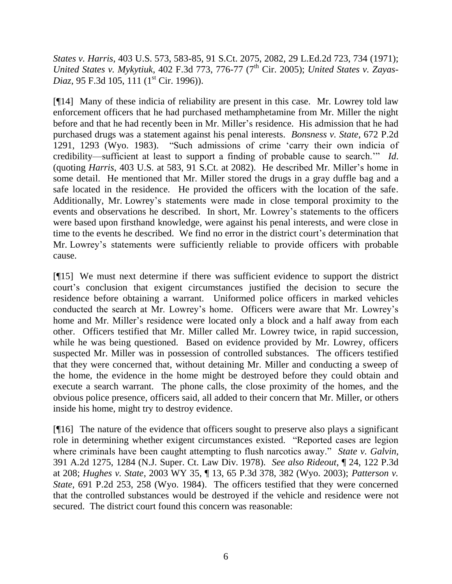*States v. Harris*, 403 U.S. 573, 583-85, 91 S.Ct. 2075, 2082, 29 L.Ed.2d 723, 734 (1971); *United States v. Mykytiuk, 402 F.3d 773, 776-77 (7<sup>th</sup> Cir. 2005); <i>United States v. Zayas-Diaz*, 95 F.3d 105, 111 (1<sup>st</sup> Cir. 1996)).

[¶14] Many of these indicia of reliability are present in this case. Mr. Lowrey told law enforcement officers that he had purchased methamphetamine from Mr. Miller the night before and that he had recently been in Mr. Miller's residence. His admission that he had purchased drugs was a statement against his penal interests. *Bonsness v. State*, 672 P.2d 1291, 1293 (Wyo. 1983). "Such admissions of crime 'carry their own indicia of credibility—sufficient at least to support a finding of probable cause to search.<sup>'"</sup> *Id*. (quoting *Harris*, 403 U.S. at 583, 91 S.Ct. at 2082). He described Mr. Miller's home in some detail. He mentioned that Mr. Miller stored the drugs in a gray duffle bag and a safe located in the residence. He provided the officers with the location of the safe. Additionally, Mr. Lowrey's statements were made in close temporal proximity to the events and observations he described. In short, Mr. Lowrey's statements to the officers were based upon firsthand knowledge, were against his penal interests, and were close in time to the events he described. We find no error in the district court's determination that Mr. Lowrey's statements were sufficiently reliable to provide officers with probable cause.

[¶15] We must next determine if there was sufficient evidence to support the district court's conclusion that exigent circumstances justified the decision to secure the residence before obtaining a warrant. Uniformed police officers in marked vehicles conducted the search at Mr. Lowrey's home. Officers were aware that Mr. Lowrey's home and Mr. Miller's residence were located only a block and a half away from each other. Officers testified that Mr. Miller called Mr. Lowrey twice, in rapid succession, while he was being questioned. Based on evidence provided by Mr. Lowrey, officers suspected Mr. Miller was in possession of controlled substances. The officers testified that they were concerned that, without detaining Mr. Miller and conducting a sweep of the home, the evidence in the home might be destroyed before they could obtain and execute a search warrant. The phone calls, the close proximity of the homes, and the obvious police presence, officers said, all added to their concern that Mr. Miller, or others inside his home, might try to destroy evidence.

[¶16] The nature of the evidence that officers sought to preserve also plays a significant role in determining whether exigent circumstances existed. "Reported cases are legion where criminals have been caught attempting to flush narcotics away." *State v. Galvin*, 391 A.2d 1275, 1284 (N.J. Super. Ct. Law Div. 1978). *See also Rideout*, ¶ 24, 122 P.3d at 208; *Hughes v. State*, 2003 WY 35, ¶ 13, 65 P.3d 378, 382 (Wyo. 2003); *Patterson v. State*, 691 P.2d 253, 258 (Wyo. 1984). The officers testified that they were concerned that the controlled substances would be destroyed if the vehicle and residence were not secured. The district court found this concern was reasonable: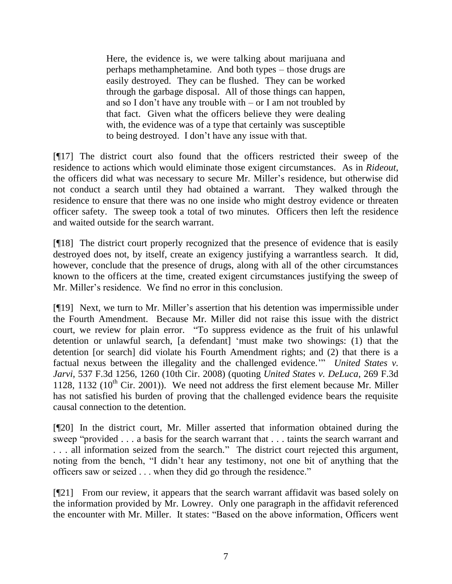Here, the evidence is, we were talking about marijuana and perhaps methamphetamine. And both types – those drugs are easily destroyed. They can be flushed. They can be worked through the garbage disposal. All of those things can happen, and so I don't have any trouble with – or I am not troubled by that fact. Given what the officers believe they were dealing with, the evidence was of a type that certainly was susceptible to being destroyed. I don't have any issue with that.

[¶17] The district court also found that the officers restricted their sweep of the residence to actions which would eliminate those exigent circumstances. As in *Rideout*, the officers did what was necessary to secure Mr. Miller's residence, but otherwise did not conduct a search until they had obtained a warrant. They walked through the residence to ensure that there was no one inside who might destroy evidence or threaten officer safety. The sweep took a total of two minutes. Officers then left the residence and waited outside for the search warrant.

[¶18] The district court properly recognized that the presence of evidence that is easily destroyed does not, by itself, create an exigency justifying a warrantless search. It did, however, conclude that the presence of drugs, along with all of the other circumstances known to the officers at the time, created exigent circumstances justifying the sweep of Mr. Miller's residence. We find no error in this conclusion.

[¶19] Next, we turn to Mr. Miller's assertion that his detention was impermissible under the Fourth Amendment. Because Mr. Miller did not raise this issue with the district court, we review for plain error. "To suppress evidence as the fruit of his unlawful detention or unlawful search, [a defendant] ‗must make two showings: (1) that the detention [or search] did violate his Fourth Amendment rights; and (2) that there is a factual nexus between the illegality and the challenged evidence." *United States v. Jarvi*, 537 F.3d 1256, 1260 (10th Cir. 2008) (quoting *United States v. DeLuca*, 269 F.3d 1128, 1132 ( $10^{th}$  Cir. 2001)). We need not address the first element because Mr. Miller has not satisfied his burden of proving that the challenged evidence bears the requisite causal connection to the detention.

[¶20] In the district court, Mr. Miller asserted that information obtained during the sweep "provided . . . a basis for the search warrant that . . . taints the search warrant and ... all information seized from the search." The district court rejected this argument, noting from the bench, "I didn't hear any testimony, not one bit of anything that the officers saw or seized . . . when they did go through the residence."

[¶21] From our review, it appears that the search warrant affidavit was based solely on the information provided by Mr. Lowrey. Only one paragraph in the affidavit referenced the encounter with Mr. Miller. It states: "Based on the above information, Officers went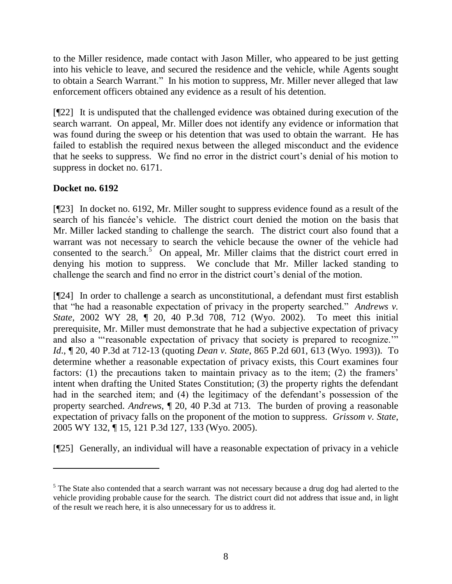to the Miller residence, made contact with Jason Miller, who appeared to be just getting into his vehicle to leave, and secured the residence and the vehicle, while Agents sought to obtain a Search Warrant." In his motion to suppress, Mr. Miller never alleged that law enforcement officers obtained any evidence as a result of his detention.

[¶22] It is undisputed that the challenged evidence was obtained during execution of the search warrant. On appeal, Mr. Miller does not identify any evidence or information that was found during the sweep or his detention that was used to obtain the warrant. He has failed to establish the required nexus between the alleged misconduct and the evidence that he seeks to suppress. We find no error in the district court's denial of his motion to suppress in docket no. 6171.

## **Docket no. 6192**

 $\overline{a}$ 

[¶23] In docket no. 6192, Mr. Miller sought to suppress evidence found as a result of the search of his fiancée's vehicle. The district court denied the motion on the basis that Mr. Miller lacked standing to challenge the search. The district court also found that a warrant was not necessary to search the vehicle because the owner of the vehicle had consented to the search. $5$  On appeal, Mr. Miller claims that the district court erred in denying his motion to suppress. We conclude that Mr. Miller lacked standing to challenge the search and find no error in the district court's denial of the motion.

[¶24] In order to challenge a search as unconstitutional, a defendant must first establish that "he had a reasonable expectation of privacy in the property searched." *Andrews v. State*, 2002 WY 28, ¶ 20, [40 P.3d 708,](http://wyomcases.courts.state.wy.us/applications/oscn/deliverdocument.asp?citeid=365228) 712 (Wyo. 2002). To meet this initial prerequisite, Mr. Miller must demonstrate that he had a subjective expectation of privacy and also a "reasonable expectation of privacy that society is prepared to recognize." *Id*., ¶ 20, [40 P.3d a](http://wyomcases.courts.state.wy.us/applications/oscn/deliverdocument.asp?citeid=365228)t 712-13 (quoting *Dean v. State*, 865 P.2d 601, 613 (Wyo. 1993)). To determine whether a reasonable expectation of privacy exists, this Court examines four factors: (1) the precautions taken to maintain privacy as to the item; (2) the framers' intent when drafting the United States Constitution; (3) the property rights the defendant had in the searched item; and (4) the legitimacy of the defendant's possession of the property searched. *Andrews*, ¶ 20, 40 P.3d at 713. The burden of proving a reasonable expectation of privacy falls on the proponent of the motion to suppress. *Grissom v. State*, 2005 WY 132, ¶ 15, 121 P.3d 127, 133 (Wyo. 2005).

[¶25] Generally, an individual will have a reasonable expectation of privacy in a vehicle

 $<sup>5</sup>$  The State also contended that a search warrant was not necessary because a drug dog had alerted to the</sup> vehicle providing probable cause for the search. The district court did not address that issue and, in light of the result we reach here, it is also unnecessary for us to address it.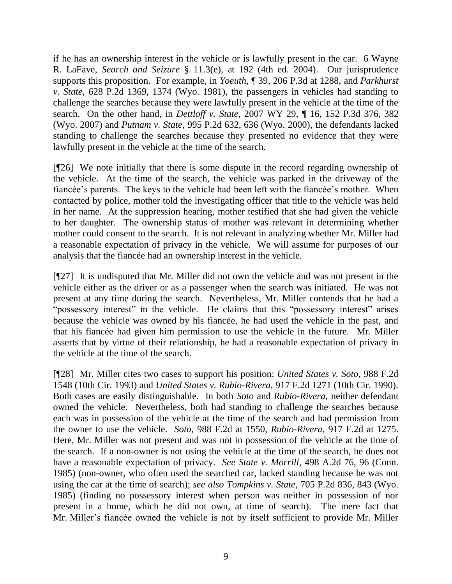if he has an ownership interest in the vehicle or is lawfully present in the car. 6 Wayne R. LaFave, *Search and Seizure* § 11.3(e), at 192 (4th ed. 2004). Our jurisprudence supports this proposition. For example, in *Yoeuth*, ¶ 39, 206 P.3d at 1288, and *Parkhurst v. State*, 628 P.2d 1369, 1374 (Wyo. 1981), the passengers in vehicles had standing to challenge the searches because they were lawfully present in the vehicle at the time of the search. On the other hand, in *Dettloff v. State*, 2007 WY 29, ¶ 16, 152 P.3d 376, 382 (Wyo. 2007) and *Putnam v. State*, 995 P.2d 632, 636 (Wyo. 2000), the defendants lacked standing to challenge the searches because they presented no evidence that they were lawfully present in the vehicle at the time of the search.

[¶26] We note initially that there is some dispute in the record regarding ownership of the vehicle. At the time of the search, the vehicle was parked in the driveway of the fiancée's parents. The keys to the vehicle had been left with the fiancée's mother. When contacted by police, mother told the investigating officer that title to the vehicle was held in her name. At the suppression hearing, mother testified that she had given the vehicle to her daughter. The ownership status of mother was relevant in determining whether mother could consent to the search. It is not relevant in analyzing whether Mr. Miller had a reasonable expectation of privacy in the vehicle. We will assume for purposes of our analysis that the fiancée had an ownership interest in the vehicle.

[¶27] It is undisputed that Mr. Miller did not own the vehicle and was not present in the vehicle either as the driver or as a passenger when the search was initiated. He was not present at any time during the search. Nevertheless, Mr. Miller contends that he had a "possessory interest" in the vehicle. He claims that this "possessory interest" arises because the vehicle was owned by his fiancée, he had used the vehicle in the past, and that his fiancée had given him permission to use the vehicle in the future. Mr. Miller asserts that by virtue of their relationship, he had a reasonable expectation of privacy in the vehicle at the time of the search.

[¶28] Mr. Miller cites two cases to support his position: *United States v. Soto*, 988 F.2d 1548 (10th Cir. 1993) and *United States v. Rubio-Rivera*, 917 F.2d 1271 (10th Cir. 1990). Both cases are easily distinguishable. In both *Soto* and *Rubio-Rivera*, neither defendant owned the vehicle. Nevertheless, both had standing to challenge the searches because each was in possession of the vehicle at the time of the search and had permission from the owner to use the vehicle. *Soto*, 988 F.2d at 1550, *Rubio-Rivera*, 917 F.2d at 1275. Here, Mr. Miller was not present and was not in possession of the vehicle at the time of the search. If a non-owner is not using the vehicle at the time of the search, he does not have a reasonable expectation of privacy. *See State v. Morrill*, 498 A.2d 76, 96 (Conn. 1985) (non-owner, who often used the searched car, lacked standing because he was not using the car at the time of search); *see also Tompkins v. State*, 705 P.2d 836, 843 (Wyo. 1985) (finding no possessory interest when person was neither in possession of nor present in a home, which he did not own, at time of search). The mere fact that Mr. Miller's fiancée owned the vehicle is not by itself sufficient to provide Mr. Miller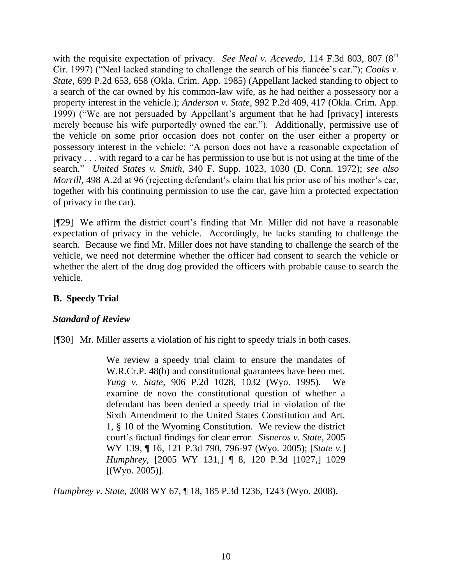with the requisite expectation of privacy. *See Neal v. Acevedo*, 114 F.3d 803, 807 (8<sup>th</sup>) Cir. 1997) ("Neal lacked standing to challenge the search of his fiancée's car."); *Cooks v. State*, 699 P.2d 653, 658 (Okla. Crim. App. 1985) (Appellant lacked standing to object to a search of the car owned by his common-law wife, as he had neither a possessory nor a property interest in the vehicle.); *Anderson v. State*, 992 P.2d 409, 417 (Okla. Crim. App. 1999) ("We are not persuaded by Appellant's argument that he had [privacy] interests merely because his wife purportedly owned the car."). Additionally, permissive use of the vehicle on some prior occasion does not confer on the user either a property or possessory interest in the vehicle: "A person does not have a reasonable expectation of privacy . . . with regard to a car he has permission to use but is not using at the time of the search.‖ *United States v. Smith*, 340 F. Supp. 1023, 1030 (D. Conn. 1972); *see also Morrill*, 498 A.2d at 96 (rejecting defendant's claim that his prior use of his mother's car, together with his continuing permission to use the car, gave him a protected expectation of privacy in the car).

[¶29] We affirm the district court's finding that Mr. Miller did not have a reasonable expectation of privacy in the vehicle. Accordingly, he lacks standing to challenge the search. Because we find Mr. Miller does not have standing to challenge the search of the vehicle, we need not determine whether the officer had consent to search the vehicle or whether the alert of the drug dog provided the officers with probable cause to search the vehicle.

## **B. Speedy Trial**

## *Standard of Review*

[¶30] Mr. Miller asserts a violation of his right to speedy trials in both cases.

We review a speedy trial claim to ensure the mandates of W.R.Cr.P. 48(b) and constitutional guarantees have been met. *Yung v. State*, [906 P.2d 1028,](http://wyomcases.courts.state.wy.us/applications/oscn/deliverdocument.asp?citeid=123535) 1032 (Wyo. 1995). We examine de novo the constitutional question of whether a defendant has been denied a speedy trial in violation of the Sixth Amendment to the United States Constitution and Art. 1, § 10 of the Wyoming Constitution. We review the district court's factual findings for clear error. *Sisneros v. State*, [2005](http://wyomcases.courts.state.wy.us/applications/oscn/deliverdocument.asp?citeid=444873)  [WY 139,](http://wyomcases.courts.state.wy.us/applications/oscn/deliverdocument.asp?citeid=444873) ¶ 16, [121 P.3d 790,](http://wyomcases.courts.state.wy.us/applications/oscn/deliverdocument.asp?citeid=444873) 796-97 (Wyo. 2005); [*State v.*] *Humphrey,* [2005 WY 131,] ¶ 8, 120 P.3d [1027,] 1029 [(Wyo. 2005)].

*Humphrey v. State*, 2008 WY 67, ¶ 18, 185 P.3d 1236, 1243 (Wyo. 2008).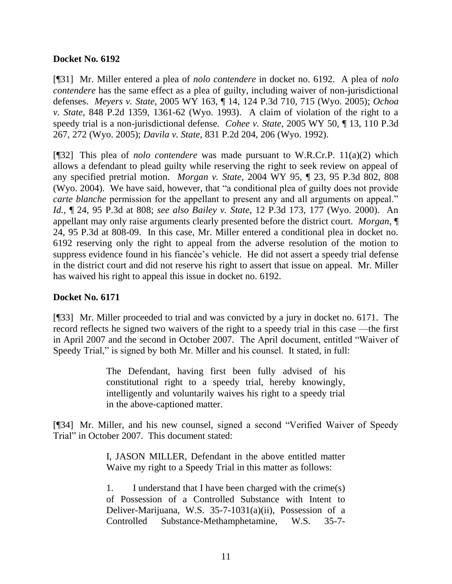### **Docket No. 6192**

[¶31] Mr. Miller entered a plea of *nolo contendere* in docket no. 6192. A plea of *nolo contendere* has the same effect as a plea of guilty, including waiver of non-jurisdictional defenses. *Meyers v. State*, 2005 WY 163, ¶ 14, 124 P.3d 710, 715 (Wyo. 2005); *Ochoa v. State*, 848 P.2d 1359, 1361-62 (Wyo. 1993). A claim of violation of the right to a speedy trial is a non-jurisdictional defense*. Cohee v. State*, 2005 WY 50, ¶ 13, 110 P.3d 267, 272 (Wyo. 2005); *Davila v. State*, 831 P.2d 204, 206 (Wyo. 1992).

[¶32] This plea of *nolo contendere* was made pursuant to W.R.Cr.P. 11(a)(2) which allows a defendant to plead guilty while reserving the right to seek review on appeal of any specified pretrial motion. *Morgan v. State*, 2004 WY 95, ¶ 23, 95 P.3d 802, 808 (Wyo. 2004). We have said, however, that "a conditional plea of guilty does not provide *carte blanche* permission for the appellant to present any and all arguments on appeal." *Id.,* ¶ 24, 95 P.3d at 808; *see also Bailey v. State*, 12 P.3d 173, 177 (Wyo. 2000). An appellant may only raise arguments clearly presented before the district court. *Morgan*, ¶ 24, 95 P.3d at 808-09. In this case, Mr. Miller entered a conditional plea in docket no. 6192 reserving only the right to appeal from the adverse resolution of the motion to suppress evidence found in his fiancée's vehicle. He did not assert a speedy trial defense in the district court and did not reserve his right to assert that issue on appeal. Mr. Miller has waived his right to appeal this issue in docket no. 6192.

### **Docket No. 6171**

[¶33] Mr. Miller proceeded to trial and was convicted by a jury in docket no. 6171. The record reflects he signed two waivers of the right to a speedy trial in this case —the first in April 2007 and the second in October 2007. The April document, entitled "Waiver of Speedy Trial," is signed by both Mr. Miller and his counsel. It stated, in full:

> The Defendant, having first been fully advised of his constitutional right to a speedy trial, hereby knowingly, intelligently and voluntarily waives his right to a speedy trial in the above-captioned matter.

[¶34] Mr. Miller, and his new counsel, signed a second "Verified Waiver of Speedy Trial" in October 2007. This document stated:

> I, JASON MILLER, Defendant in the above entitled matter Waive my right to a Speedy Trial in this matter as follows:

> 1. I understand that I have been charged with the crime(s) of Possession of a Controlled Substance with Intent to Deliver-Marijuana, W.S. 35-7-1031(a)(ii), Possession of a Controlled Substance-Methamphetamine, W.S. 35-7-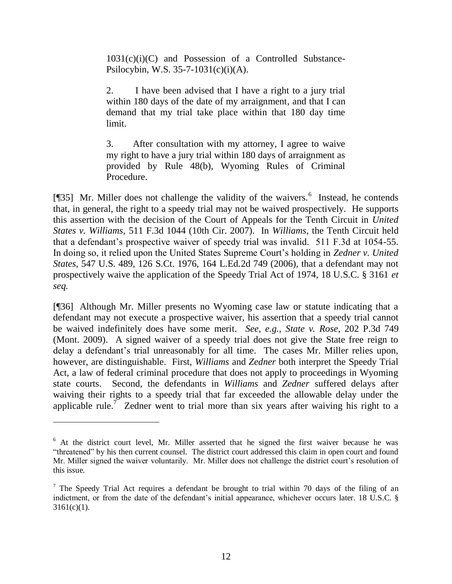$1031(c)(i)(C)$  and Possession of a Controlled Substance-Psilocybin, W.S. 35-7-1031(c)(i)(A).

2. I have been advised that I have a right to a jury trial within 180 days of the date of my arraignment, and that I can demand that my trial take place within that 180 day time limit.

3. After consultation with my attorney, I agree to waive my right to have a jury trial within 180 days of arraignment as provided by Rule 48(b), Wyoming Rules of Criminal Procedure.

[ $[$ ] Mr. Miller does not challenge the validity of the waivers.<sup>6</sup> Instead, he contends that, in general, the right to a speedy trial may not be waived prospectively. He supports this assertion with the decision of the Court of Appeals for the Tenth Circuit in *United States v. Williams*, 511 F.3d 1044 (10th Cir. 2007). In *Williams*, the Tenth Circuit held that a defendant's prospective waiver of speedy trial was invalid. 511 F.3d at 1054-55. In doing so, it relied upon the United States Supreme Court's holding in *Zedner v. United States*, 547 U.S. 489, 126 S.Ct. 1976, 164 L.Ed.2d 749 (2006), that a defendant may not prospectively waive the application of the Speedy Trial Act of 1974, 18 U.S.C. § 3161 *et seq.*

[¶36] Although Mr. Miller presents no Wyoming case law or statute indicating that a defendant may not execute a prospective waiver, his assertion that a speedy trial cannot be waived indefinitely does have some merit. *See, e.g.*, *State v. Rose*, 202 P.3d 749 (Mont. 2009). A signed waiver of a speedy trial does not give the State free reign to delay a defendant's trial unreasonably for all time. The cases Mr. Miller relies upon, however, are distinguishable. First, *Williams* and *Zedner* both interpret the Speedy Trial Act, a law of federal criminal procedure that does not apply to proceedings in Wyoming state courts. Second, the defendants in *Williams* and *Zedner* suffered delays after waiving their rights to a speedy trial that far exceeded the allowable delay under the applicable rule.<sup>7</sup> Zedner went to trial more than six years after waiving his right to a

 $\overline{a}$ 

 $6$  At the district court level, Mr. Miller asserted that he signed the first waiver because he was "threatened" by his then current counsel. The district court addressed this claim in open court and found Mr. Miller signed the waiver voluntarily. Mr. Miller does not challenge the district court's resolution of this issue.

<sup>&</sup>lt;sup>7</sup> The Speedy Trial Act requires a defendant be brought to trial within 70 days of the filing of an indictment, or from the date of the defendant's initial appearance, whichever occurs later. 18 U.S.C. §  $3161(c)(1)$ .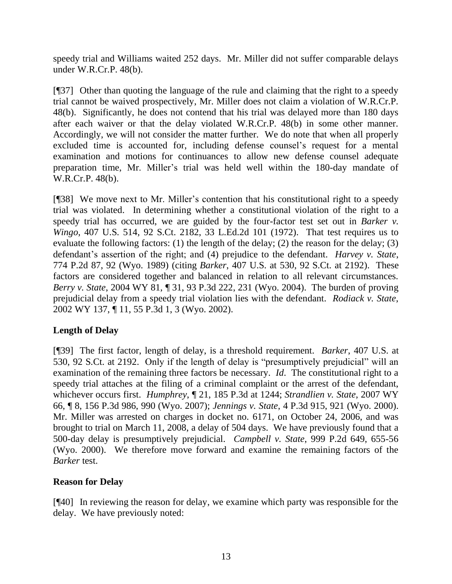speedy trial and Williams waited 252 days. Mr. Miller did not suffer comparable delays under W.R.Cr.P. 48(b).

[¶37] Other than quoting the language of the rule and claiming that the right to a speedy trial cannot be waived prospectively, Mr. Miller does not claim a violation of W.R.Cr.P. 48(b). Significantly, he does not contend that his trial was delayed more than 180 days after each waiver or that the delay violated W.R.Cr.P. 48(b) in some other manner. Accordingly, we will not consider the matter further. We do note that when all properly excluded time is accounted for, including defense counsel's request for a mental examination and motions for continuances to allow new defense counsel adequate preparation time, Mr. Miller's trial was held well within the 180-day mandate of W.R.Cr.P. 48(b).

[¶38] We move next to Mr. Miller's contention that his constitutional right to a speedy trial was violated. In determining whether a constitutional violation of the right to a speedy trial has occurred, we are guided by the four-factor test set out in *Barker v. Wingo*, 407 U.S. 514, 92 S.Ct. 2182, 33 L.Ed.2d 101 (1972). That test requires us to evaluate the following factors: (1) the length of the delay; (2) the reason for the delay; (3) defendant's assertion of the right; and (4) prejudice to the defendant. *Harvey v. State*, 774 P.2d 87, 92 (Wyo. 1989) (citing *Barker*, 407 U.S. at 530, 92 S.Ct. at 2192). These factors are considered together and balanced in relation to all relevant circumstances. *Berry v. State*, 2004 WY 81, ¶ 31, 93 P.3d 222, 231 (Wyo. 2004). The burden of proving prejudicial delay from a speedy trial violation lies with the defendant. *Rodiack v. State*, 2002 WY 137, ¶ 11, 55 P.3d 1, 3 (Wyo. 2002).

# **Length of Delay**

[¶39] The first factor, length of delay, is a threshold requirement. *Barker*, 407 U.S. at 530, 92 S.Ct. at 2192. Only if the length of delay is "presumptively prejudicial" will an examination of the remaining three factors be necessary. *Id*. The constitutional right to a speedy trial attaches at the filing of a criminal complaint or the arrest of the defendant, whichever occurs first. *Humphrey*, ¶ 21, 185 P.3d at 1244; *Strandlien v. State*, 2007 WY 66, ¶ 8, 156 P.3d 986, 990 (Wyo. 2007); *Jennings v. State*, 4 P.3d 915, 921 (Wyo. 2000). Mr. Miller was arrested on charges in docket no. 6171, on October 24, 2006, and was brought to trial on March 11, 2008, a delay of 504 days. We have previously found that a 500-day delay is presumptively prejudicial. *Campbell v. State*, 999 P.2d 649, 655-56 (Wyo. 2000). We therefore move forward and examine the remaining factors of the *Barker* test.

## **Reason for Delay**

[¶40] In reviewing the reason for delay, we examine which party was responsible for the delay. We have previously noted: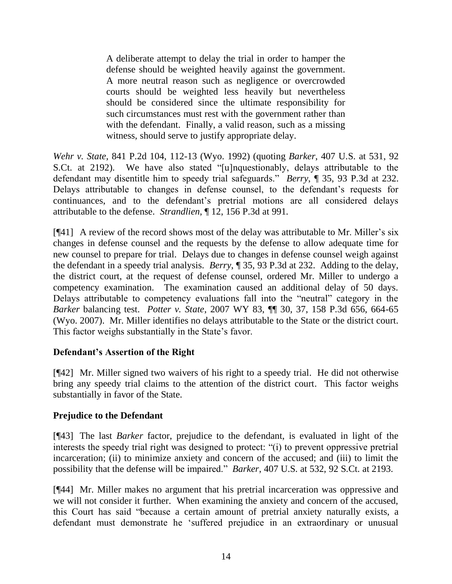A deliberate attempt to delay the trial in order to hamper the defense should be weighted heavily against the government. A more neutral reason such as negligence or overcrowded courts should be weighted less heavily but nevertheless should be considered since the ultimate responsibility for such circumstances must rest with the government rather than with the defendant. Finally, a valid reason, such as a missing witness, should serve to justify appropriate delay.

*Wehr v. State*, 841 P.2d 104, 112-13 (Wyo. 1992) (quoting *Barker*, 407 U.S. at 531, 92 S.Ct. at 2192). We have also stated "[u]nquestionably, delays attributable to the defendant may disentitle him to speedy trial safeguards.‖ *Berry*, ¶ 35, 93 P.3d at 232. Delays attributable to changes in defense counsel, to the defendant's requests for continuances, and to the defendant's pretrial motions are all considered delays attributable to the defense. *Strandlien*, ¶ 12, 156 P.3d at 991.

[¶41] A review of the record shows most of the delay was attributable to Mr. Miller's six changes in defense counsel and the requests by the defense to allow adequate time for new counsel to prepare for trial. Delays due to changes in defense counsel weigh against the defendant in a speedy trial analysis. *Berry*, ¶ 35, 93 P.3d at 232. Adding to the delay, the district court, at the request of defense counsel, ordered Mr. Miller to undergo a competency examination. The examination caused an additional delay of 50 days. Delays attributable to competency evaluations fall into the "neutral" category in the *Barker* balancing test. *Potter v. State*, 2007 WY 83, ¶¶ 30, 37, 158 P.3d 656, 664-65 (Wyo. 2007). Mr. Miller identifies no delays attributable to the State or the district court. This factor weighs substantially in the State's favor.

## **Defendant's Assertion of the Right**

[¶42] Mr. Miller signed two waivers of his right to a speedy trial. He did not otherwise bring any speedy trial claims to the attention of the district court. This factor weighs substantially in favor of the State.

## **Prejudice to the Defendant**

[¶43] The last *Barker* factor, prejudice to the defendant, is evaluated in light of the interests the speedy trial right was designed to protect: "(i) to prevent oppressive pretrial incarceration; (ii) to minimize anxiety and concern of the accused; and (iii) to limit the possibility that the defense will be impaired.‖ *Barker*, 407 U.S. at 532, 92 S.Ct. at 2193.

[¶44] Mr. Miller makes no argument that his pretrial incarceration was oppressive and we will not consider it further. When examining the anxiety and concern of the accused, this Court has said "because a certain amount of pretrial anxiety naturally exists, a defendant must demonstrate he 'suffered prejudice in an extraordinary or unusual